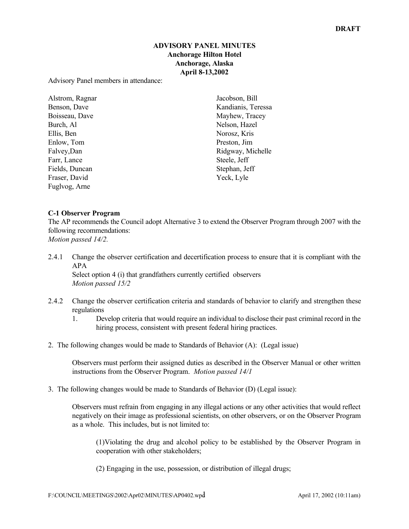# **ADVISORY PANEL MINUTES Anchorage Hilton Hotel Anchorage, Alaska April 8-13,2002**

Advisory Panel members in attendance:

| Alstrom, Ragnar | Jacobson, Bill     |
|-----------------|--------------------|
| Benson, Dave    | Kandianis, Teressa |
| Boisseau, Dave  | Mayhew, Tracey     |
| Burch, Al       | Nelson, Hazel      |
| Ellis, Ben      | Norosz, Kris       |
| Enlow, Tom      | Preston, Jim       |
| Falvey, Dan     | Ridgway, Michelle  |
| Farr, Lance     | Steele, Jeff       |
| Fields, Duncan  | Stephan, Jeff      |
| Fraser, David   | Yeck, Lyle         |
| Fuglvog, Arne   |                    |

### **C-1 Observer Program**

The AP recommends the Council adopt Alternative 3 to extend the Observer Program through 2007 with the following recommendations: *Motion passed 14/2.*

- 2.4.1 Change the observer certification and decertification process to ensure that it is compliant with the APA Select option 4 (i) that grandfathers currently certified observers *Motion passed 15/2*
- 2.4.2 Change the observer certification criteria and standards of behavior to clarify and strengthen these regulations
	- 1. Develop criteria that would require an individual to disclose their past criminal record in the hiring process, consistent with present federal hiring practices.
- 2. The following changes would be made to Standards of Behavior (A): (Legal issue)

Observers must perform their assigned duties as described in the Observer Manual or other written instructions from the Observer Program. *Motion passed 14/1*

3. The following changes would be made to Standards of Behavior (D) (Legal issue):

Observers must refrain from engaging in any illegal actions or any other activities that would reflect negatively on their image as professional scientists, on other observers, or on the Observer Program as a whole. This includes, but is not limited to:

(1)Violating the drug and alcohol policy to be established by the Observer Program in cooperation with other stakeholders;

(2) Engaging in the use, possession, or distribution of illegal drugs;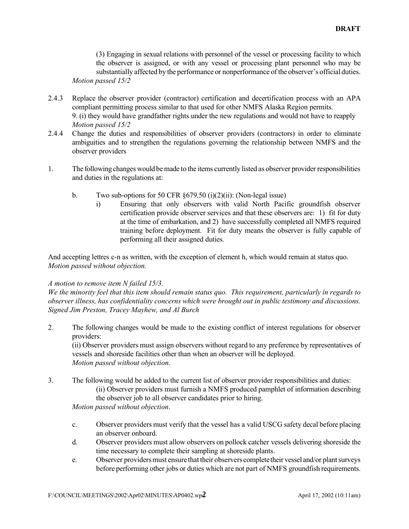(3) Engaging in sexual relations with personnel of the vessel or processing facility to which the observer is assigned, or with any vessel or processing plant personnel who may be substantially affected by the performance or nonperformance of the observer's official duties. *Motion passed 15/2*

- 2.4.3 Replace the observer provider (contractor) certification and decertification process with an APA compliant permitting process similar to that used for other NMFS Alaska Region permits. 9. (i) they would have grandfather rights under the new regulations and would not have to reapply *Motion passed 15/2*
- 2.4.4 Change the duties and responsibilities of observer providers (contractors) in order to eliminate ambiguities and to strengthen the regulations governing the relationship between NMFS and the observer providers
- 1. The following changes would bemade to the items currently listed as observer provider responsibilities and duties in the regulations at:
	- b. Two sub-options for 50 CFR  $\S 679.50$  (i)(2)(ii): (Non-legal issue)
		- i) Ensuring that only observers with valid North Pacific groundfish observer certification provide observer services and that these observers are: 1) fit for duty at the time of embarkation, and 2) have successfully completed all NMFS required training before deployment. Fit for duty means the observer is fully capable of performing all their assigned duties.

And accepting lettres c-n as written, with the exception of element h, which would remain at status quo. *Motion passed without objection.*

#### *A motion to remove item N failed 15/3.*

*We the minority feel that this item should remain status quo. This requirement, particularly in regards to observer illness, has confidentiality concerns which were brought out in public testimony and discussions. Signed Jim Preston, Tracey Mayhew, and Al Burch*

2. The following changes would be made to the existing conflict of interest regulations for observer providers:

(ii) Observer providers must assign observers without regard to any preference by representatives of vessels and shoreside facilities other than when an observer will be deployed. *Motion passed without objection.*

3. The following would be added to the current list of observer provider responsibilities and duties: (ii) Observer providers must furnish a NMFS produced pamphlet of information describing

the observer job to all observer candidates prior to hiring.

*Motion passed without objection*.

- c. Observer providers must verify that the vessel has a valid USCG safety decal before placing an observer onboard.
- d. Observer providers must allow observers on pollock catcher vessels delivering shoreside the time necessary to complete their sampling at shoreside plants.
- e. Observer providersmust ensure that their observers completetheir vessel and/or plantsurveys before performing other jobs or duties which are not part of NMFS groundfish requirements.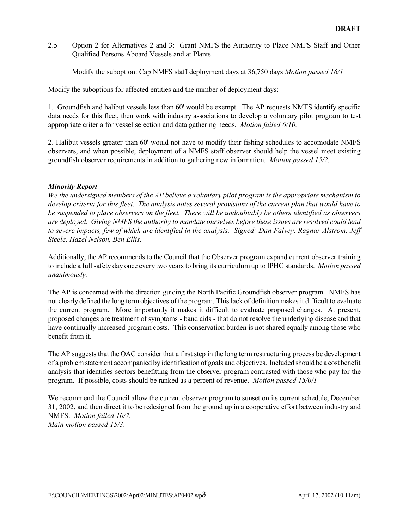2.5 Option 2 for Alternatives 2 and 3: Grant NMFS the Authority to Place NMFS Staff and Other Qualified Persons Aboard Vessels and at Plants

Modify the suboption: Cap NMFS staff deployment days at 36,750 days *Motion passed 16/1*

Modify the suboptions for affected entities and the number of deployment days:

1. Groundfish and halibut vessels less than 60' would be exempt. The AP requests NMFS identify specific data needs for this fleet, then work with industry associations to develop a voluntary pilot program to test appropriate criteria for vessel selection and data gathering needs. *Motion failed 6/10.*

2. Halibut vessels greater than 60' would not have to modify their fishing schedules to accomodate NMFS observers, and when possible, deployment of a NMFS staff observer should help the vessel meet existing groundfish observer requirements in addition to gathering new information. *Motion passed 15/2.*

### *Minority Report*

*We the undersigned members of the AP believe a voluntary pilot program is the appropriate mechanism to develop criteria for this fleet. The analysis notes several provisions of the current plan that would have to be suspended to place observers on the fleet. There will be undoubtably be others identified as observers are deployed. Giving NMFS the authority to mandate ourselves before these issues are resolved could lead to severe impacts, few of which are identified in the analysis. Signed: Dan Falvey, Ragnar Alstrom, Jeff Steele, Hazel Nelson, Ben Ellis.* 

Additionally, the AP recommends to the Council that the Observer program expand current observer training to include a fullsafety day once every two years to bring its curriculumup to IPHC standards. *Motion passed unanimously.*

The AP is concerned with the direction guiding the North Pacific Groundfish observer program. NMFS has not clearly defined the long termobjectives of the program. This lack of definition makes it difficult to evaluate the current program. More importantly it makes it difficult to evaluate proposed changes. At present, proposed changes are treatment of symptoms - band aids - that do not resolve the underlying disease and that have continually increased program costs. This conservation burden is not shared equally among those who benefit from it.

The AP suggests that the OAC consider that a first step in the long term restructuring process be development of a problem statement accompanied by identification of goals and objectives. Included should be a cost benefit analysis that identifies sectors benefitting from the observer program contrasted with those who pay for the program. If possible, costs should be ranked as a percent of revenue. *Motion passed 15/0/1*

We recommend the Council allow the current observer program to sunset on its current schedule, December 31, 2002, and then direct it to be redesigned from the ground up in a cooperative effort between industry and NMFS. *Motion failed 10/7. Main motion passed 15/3*.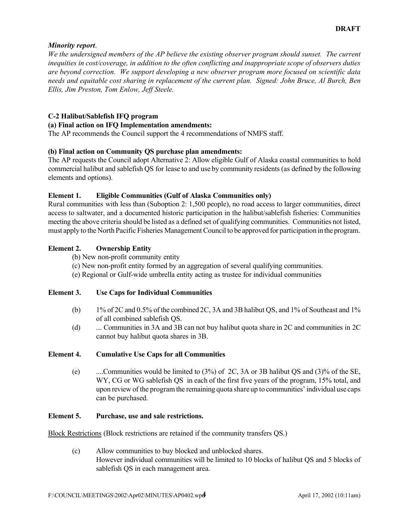### *Minority report*.

*We the undersigned members of the AP believe the existing observer program should sunset. The current inequities in cost/coverage, in addition to the often conflicting and inappropriate scope of observers duties are beyond correction. We support developing a new observer program more focused on scientific data needs and equitable cost sharing in replacement of the current plan. Signed: John Bruce, Al Burch, Ben Ellis, Jim Preston, Tom Enlow, Jeff Steele.* 

## **C-2 Halibut/Sablefish IFQ program**

## **(a) Final action on IFQ Implementation amendments:**

The AP recommends the Council support the 4 recommendations of NMFS staff.

### **(b) Final action on Community QS purchase plan amendments:**

The AP requests the Council adopt Alternative 2: Allow eligible Gulf of Alaska coastal communities to hold commercial halibut and sablefish QS for lease to and use by community residents (as defined by the following elements and options).

#### **Element 1. Eligible Communities (Gulf of Alaska Communities only)**

Rural communities with less than (Suboption 2: 1,500 people), no road access to larger communities, direct access to saltwater, and a documented historic participation in the halibut/sablefish fisheries: Communities meeting the above criteria should be listed as a defined set of qualifying communities. Communities not listed, must apply to the North Pacific Fisheries Management Council to be approved for participation in the program.

### **Element 2. Ownership Entity**

- (b) New non-profit community entity
- (c) New non-profit entity formed by an aggregation of several qualifying communities.
- (e) Regional or Gulf-wide umbrella entity acting as trustee for individual communities

### **Element 3. Use Caps for Individual Communities**

- (b) 1% of 2C and 0.5% of the combined 2C, 3A and 3B halibut QS, and 1% of Southeast and 1% of all combined sablefish QS.
- (d) ... Communities in 3A and 3B can not buy halibut quota share in 2C and communities in 2C cannot buy halibut quota shares in 3B.

### **Element 4. Cumulative Use Caps for all Communities**

(e) ....Communities would be limited to (3%) of 2C, 3A or 3B halibut QS and (3)% of the SE, WY, CG or WG sablefish OS in each of the first five years of the program, 15% total, and upon review of the programthe remaining quota share up to communities'individual use caps can be purchased.

#### **Element 5. Purchase, use and sale restrictions.**

Block Restrictions (Block restrictions are retained if the community transfers QS.)

(c) Allow communities to buy blocked and unblocked shares. However individual communities will be limited to 10 blocks of halibut QS and 5 blocks of sablefish QS in each management area.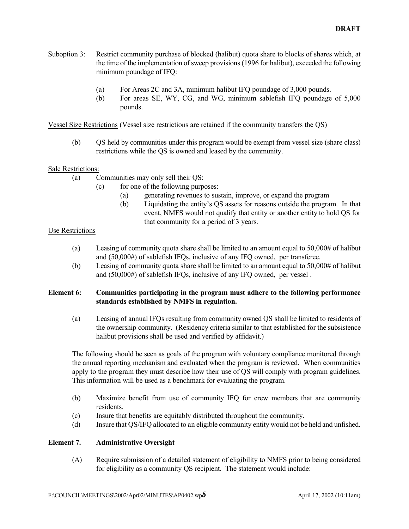- Suboption 3: Restrict community purchase of blocked (halibut) quota share to blocks of shares which, at the time of the implementation of sweep provisions (1996 for halibut), exceeded the following minimum poundage of IFQ:
	- (a) For Areas 2C and 3A, minimum halibut IFQ poundage of 3,000 pounds.
	- (b) For areas SE, WY, CG, and WG, minimum sablefish IFQ poundage of 5,000 pounds.

Vessel Size Restrictions (Vessel size restrictions are retained if the community transfers the QS)

(b) QS held by communities under this program would be exempt from vessel size (share class) restrictions while the QS is owned and leased by the community.

### Sale Restrictions:

- (a) Communities may only sell their QS:
	- (c) for one of the following purposes:
		- (a) generating revenues to sustain, improve, or expand the program
		- (b) Liquidating the entity's QS assets for reasons outside the program. In that event, NMFS would not qualify that entity or another entity to hold QS for that community for a period of 3 years.

#### Use Restrictions

- (a) Leasing of community quota share shall be limited to an amount equal to 50,000# of halibut and (50,000#) of sablefish IFQs, inclusive of any IFQ owned, per transferee.
- (b) Leasing of community quota share shall be limited to an amount equal to 50,000# of halibut and (50,000#) of sablefish IFQs, inclusive of any IFQ owned, per vessel .

### **Element 6: Communities participating in the program must adhere to the following performance standards established by NMFS in regulation.**

(a) Leasing of annual IFQs resulting from community owned QS shall be limited to residents of the ownership community. (Residency criteria similar to that established for the subsistence halibut provisions shall be used and verified by affidavit.)

The following should be seen as goals of the program with voluntary compliance monitored through the annual reporting mechanism and evaluated when the program is reviewed. When communities apply to the program they must describe how their use of QS will comply with program guidelines. This information will be used as a benchmark for evaluating the program.

- (b) Maximize benefit from use of community IFQ for crew members that are community residents.
- (c) Insure that benefits are equitably distributed throughout the community.
- (d) Insure that QS/IFQ allocated to an eligible community entity would not be held and unfished.

### **Element 7. Administrative Oversight**

(A) Require submission of a detailed statement of eligibility to NMFS prior to being considered for eligibility as a community QS recipient. The statement would include: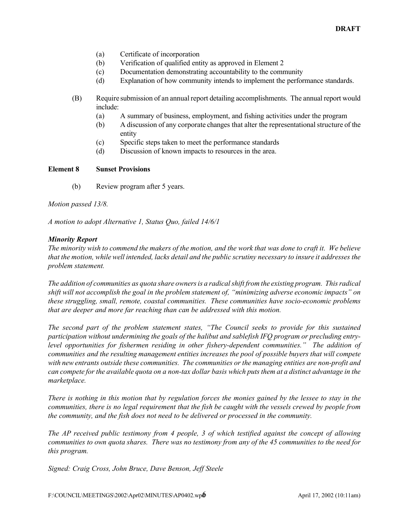- (a) Certificate of incorporation
- (b) Verification of qualified entity as approved in Element 2
- (c) Documentation demonstrating accountability to the community
- (d) Explanation of how community intends to implement the performance standards.
- (B) Require submission of an annual report detailing accomplishments. The annual report would include:
	- (a) A summary of business, employment, and fishing activities under the program
	- (b) A discussion of any corporate changes that alter the representationalstructure of the entity
	- (c) Specific steps taken to meet the performance standards
	- (d) Discussion of known impacts to resources in the area.

### **Element 8 Sunset Provisions**

(b) Review program after 5 years.

*Motion passed 13/8.*

*A motion to adopt Alternative 1, Status Quo, failed 14/6/1*

#### *Minority Report*

The minority wish to commend the makers of the motion, and the work that was done to craft it. We believe that the motion, while well intended, lacks detail and the public scrutiny necessary to insure it addresses the *problem statement.* 

*The addition of communities as quota share ownersis a radicalshift from the existing program. This radical shift will not accomplish the goal in the problem statement of, "minimizing adverse economic impacts" on these struggling, small, remote, coastal communities. These communities have socio-economic problems that are deeper and more far reaching than can be addressed with this motion.*

*The second part of the problem statement states, "The Council seeks to provide for this sustained participation without undermining the goals of the halibut and sablefish IFQ program or precluding entrylevel opportunities for fishermen residing in other fishery-dependent communities." The addition of communities and the resulting management entities increases the pool of possible buyers that will compete with newentrants outside these communities. The communities or the managing entities are non-profit and* can compete for the available quota on a non-tax dollar basis which puts them at a distinct advantage in the *marketplace.* 

*There is nothing in this motion that by regulation forces the monies gained by the lessee to stay in the communities, there is no legal requirement that the fish be caught with the vessels crewed by people from the community, and the fish does not need to be delivered or processed in the community.* 

*The AP received public testimony from 4 people, 3 of which testified against the concept of allowing communities to own quota shares. There was no testimony from any of the 45 communities to the need for this program.* 

*Signed: Craig Cross, John Bruce, Dave Benson, Jeff Steele*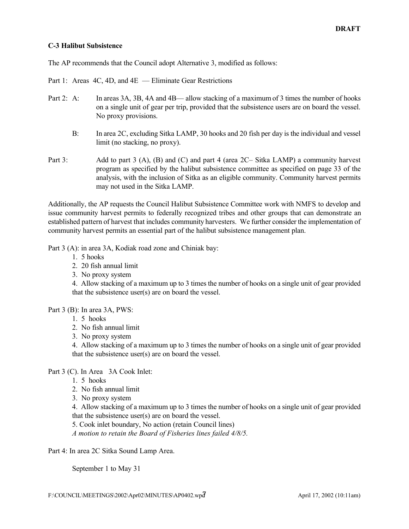### **C-3 Halibut Subsistence**

The AP recommends that the Council adopt Alternative 3, modified as follows:

Part 1: Areas 4C, 4D, and 4E — Eliminate Gear Restrictions

- Part 2: A: In areas 3A, 3B, 4A and 4B— allow stacking of a maximum of 3 times the number of hooks on a single unit of gear per trip, provided that the subsistence users are on board the vessel. No proxy provisions.
	- B: In area 2C, excluding Sitka LAMP, 30 hooks and 20 fish per day is the individual and vessel limit (no stacking, no proxy).
- Part 3: Add to part 3 (A), (B) and (C) and part 4 (area 2C– Sitka LAMP) a community harvest program as specified by the halibut subsistence committee as specified on page 33 of the analysis, with the inclusion of Sitka as an eligible community. Community harvest permits may not used in the Sitka LAMP.

Additionally, the AP requests the Council Halibut Subsistence Committee work with NMFS to develop and issue community harvest permits to federally recognized tribes and other groups that can demonstrate an established pattern of harvest that includes community harvesters. We further consider the implementation of community harvest permits an essential part of the halibut subsistence management plan.

Part 3 (A): in area 3A, Kodiak road zone and Chiniak bay:

- 1. 5 hooks
- 2. 20 fish annual limit
- 3. No proxy system

4. Allow stacking of a maximum up to 3 times the number of hooks on a single unit of gear provided that the subsistence user(s) are on board the vessel.

Part 3 (B): In area 3A, PWS:

- 1. 5 hooks
- 2. No fish annual limit
- 3. No proxy system

4. Allow stacking of a maximum up to 3 times the number of hooks on a single unit of gear provided that the subsistence user(s) are on board the vessel.

Part 3 (C). In Area 3A Cook Inlet:

- 1. 5 hooks
- 2. No fish annual limit
- 3. No proxy system

4. Allow stacking of a maximum up to 3 times the number of hooks on a single unit of gear provided that the subsistence user(s) are on board the vessel.

5. Cook inlet boundary, No action (retain Council lines)

*A motion to retain the Board of Fisheries lines failed 4/8/5.*

Part 4: In area 2C Sitka Sound Lamp Area.

September 1 to May 31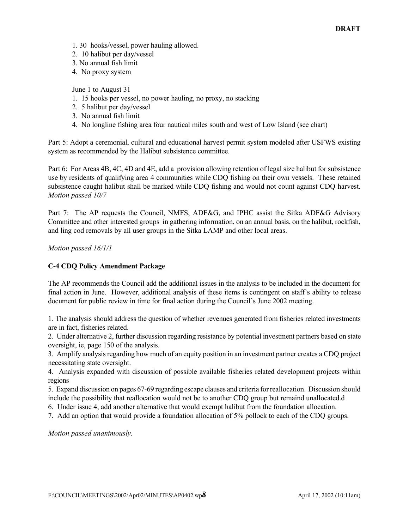- 1. 30 hooks/vessel, power hauling allowed.
- 2. 10 halibut per day/vessel
- 3. No annual fish limit
- 4. No proxy system

June 1 to August 31

- 1. 15 hooks per vessel, no power hauling, no proxy, no stacking
- 2. 5 halibut per day/vessel
- 3. No annual fish limit
- 4. No longline fishing area four nautical miles south and west of Low Island (see chart)

Part 5: Adopt a ceremonial, cultural and educational harvest permit system modeled after USFWS existing system as recommended by the Halibut subsistence committee.

Part 6: For Areas 4B, 4C, 4D and 4E, add a provision allowing retention of legal size halibut for subsistence use by residents of qualifying area 4 communities while CDQ fishing on their own vessels. These retained subsistence caught halibut shall be marked while CDQ fishing and would not count against CDQ harvest. *Motion passed 10/7*

Part 7: The AP requests the Council, NMFS, ADF&G, and IPHC assist the Sitka ADF&G Advisory Committee and other interested groups in gathering information, on an annual basis, on the halibut, rockfish, and ling cod removals by all user groups in the Sitka LAMP and other local areas.

*Motion passed 16/1/1*

### **C-4 CDQ Policy Amendment Package**

The AP recommends the Council add the additional issues in the analysis to be included in the document for final action in June. However, additional analysis of these items is contingent on staff's ability to release document for public review in time for final action during the Council's June 2002 meeting.

1. The analysis should address the question of whether revenues generated from fisheries related investments are in fact, fisheries related.

2. Under alternative 2, further discussion regarding resistance by potential investment partners based on state oversight, ie, page 150 of the analysis.

3. Amplify analysis regarding how much of an equity position in an investment partner creates a CDQ project necessitating state oversight.

4. Analysis expanded with discussion of possible available fisheries related development projects within regions

5. Expand discussion on pages 67-69 regarding escape clauses and criteria for reallocation. Discussion should include the possibility that reallocation would not be to another CDQ group but remaind unallocated.d

6. Under issue 4, add another alternative that would exempt halibut from the foundation allocation.

7. Add an option that would provide a foundation allocation of 5% pollock to each of the CDQ groups.

*Motion passed unanimously.*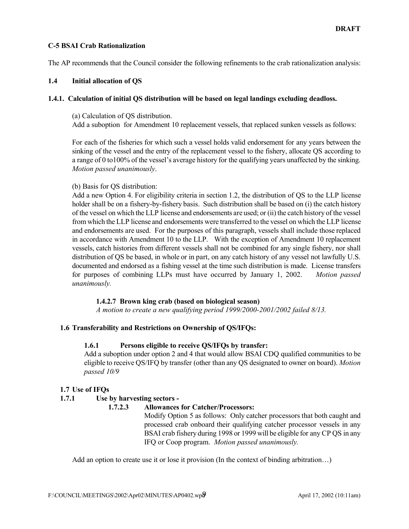## **C-5 BSAI Crab Rationalization**

The AP recommends that the Council consider the following refinements to the crab rationalization analysis:

## **1.4 Initial allocation of QS**

### **1.4.1. Calculation of initial QS distribution will be based on legal landings excluding deadloss.**

(a) Calculation of QS distribution.

Add a suboption for Amendment 10 replacement vessels, that replaced sunken vessels as follows:

For each of the fisheries for which such a vessel holds valid endorsement for any years between the sinking of the vessel and the entry of the replacement vessel to the fishery, allocate QS according to a range of 0 to100% of the vessel's average history for the qualifying years unaffected by the sinking. *Motion passed unanimously*.

## (b) Basis for QS distribution:

Add a new Option 4. For eligibility criteria in section 1.2, the distribution of QS to the LLP license holder shall be on a fishery-by-fishery basis. Such distribution shall be based on (i) the catch history of the vessel on which the LLP license and endorsements are used; or (ii) the catch history of the vessel from which the LLP license and endorsements were transferred to the vessel on which the LLP license and endorsements are used. For the purposes of this paragraph, vessels shall include those replaced in accordance with Amendment 10 to the LLP. With the exception of Amendment 10 replacement vessels, catch histories from different vessels shall not be combined for any single fishery, nor shall distribution of QS be based, in whole or in part, on any catch history of any vessel not lawfully U.S. documented and endorsed as a fishing vessel at the time such distribution is made. License transfers for purposes of combining LLPs must have occurred by January 1, 2002. *Motion passed unanimously.*

# **1.4.2.7 Brown king crab (based on biological season)**

*A motion to create a new qualifying period 1999/2000-2001/2002 failed 8/13.*

# **1.6 Transferability and Restrictions on Ownership of QS/IFQs:**

# **1.6.1 Persons eligible to receive QS/IFQs by transfer:**

Add a suboption under option 2 and 4 that would allow BSAI CDQ qualified communities to be eligible to receive QS/IFQ by transfer (other than any QS designated to owner on board). *Motion passed 10/9*

# **1.7 Use of IFQs**

# **1.7.1 Use by harvesting sectors -**

### **1.7.2.3 Allowances for Catcher/Processors:**

Modify Option 5 as follows: Only catcher processors that both caught and processed crab onboard their qualifying catcher processor vessels in any BSAI crab fishery during 1998 or 1999 will be eligible for any CP QS in any IFQ or Coop program. *Motion passed unanimously.*

Add an option to create use it or lose it provision (In the context of binding arbitration...)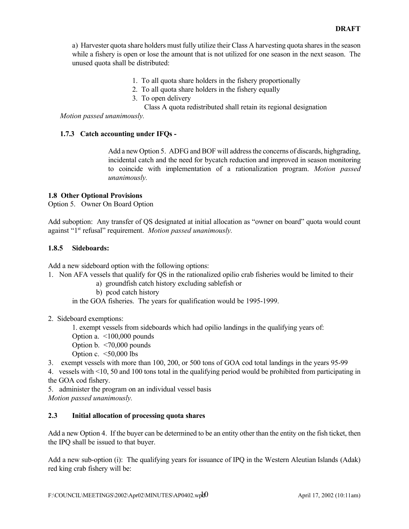a) Harvester quota share holders must fully utilize their Class A harvesting quota shares in the season while a fishery is open or lose the amount that is not utilized for one season in the next season. The unused quota shall be distributed:

- 1. To all quota share holders in the fishery proportionally
- 2. To all quota share holders in the fishery equally
- 3. To open delivery
- Class A quota redistributed shall retain its regional designation

*Motion passed unanimously.*

### **1.7.3 Catch accounting under IFQs -**

Add a new Option 5. ADFG and BOF will address the concerns of discards, highgrading, incidental catch and the need for bycatch reduction and improved in season monitoring to coincide with implementation of a rationalization program. *Motion passed unanimously.*

### **1.8 Other Optional Provisions**

Option 5. Owner On Board Option

Add suboption: Any transfer of QS designated at initial allocation as "owner on board" quota would count against "1<sup>st</sup> refusal" requirement. *Motion passed unanimously*.

### **1.8.5 Sideboards:**

Add a new sideboard option with the following options:

- 1. Non AFA vessels that qualify for QS in the rationalized opilio crab fisheries would be limited to their
	- a) groundfish catch history excluding sablefish or
	- b) pcod catch history

in the GOA fisheries. The years for qualification would be 1995-1999.

2. Sideboard exemptions:

1. exempt vessels from sideboards which had opilio landings in the qualifying years of:

- Option a. <100,000 pounds
- Option b. <70,000 pounds
- Option c.  $\leq 50,000$  lbs
- 3. exempt vessels with more than 100, 200, or 500 tons of GOA cod total landings in the years 95-99

4. vessels with <10, 50 and 100 tons total in the qualifying period would be prohibited from participating in the GOA cod fishery.

5. administer the program on an individual vessel basis *Motion passed unanimously.*

### **2.3 Initial allocation of processing quota shares**

Add a new Option 4. If the buyer can be determined to be an entity other than the entity on the fish ticket, then the IPQ shall be issued to that buyer.

Add a new sub-option (i): The qualifying years for issuance of IPQ in the Western Aleutian Islands (Adak) red king crab fishery will be: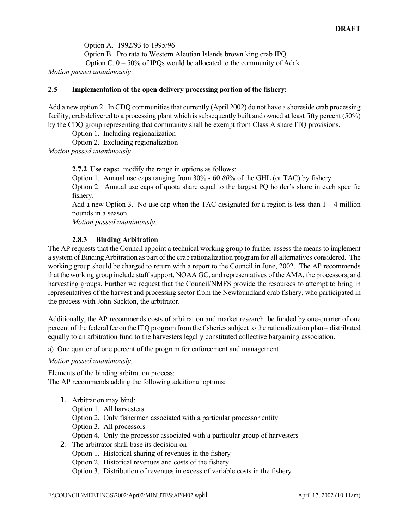Option A. 1992/93 to 1995/96 Option B. Pro rata to Western Aleutian Islands brown king crab IPQ Option C.  $0 - 50\%$  of IPQs would be allocated to the community of Adak *Motion passed unanimously* 

## **2.5 Implementation of the open delivery processing portion of the fishery:**

Add a new option 2. In CDQ communities that currently (April 2002) do not have a shoreside crab processing facility, crab delivered to a processing plant which is subsequently built and owned at least fifty percent (50%) by the CDQ group representing that community shall be exempt from Class A share ITQ provisions.

Option 1. Including regionalization

Option 2. Excluding regionalization

*Motion passed unanimously* 

**2.7.2 Use caps:** modify the range in options as follows:

Option 1. Annual use caps ranging from 30% - 60 *80*% of the GHL (or TAC) by fishery.

Option 2. Annual use caps of quota share equal to the largest PQ holder's share in each specific fishery.

Add a new Option 3. No use cap when the TAC designated for a region is less than  $1 - 4$  million pounds in a season.

*Motion passed unanimously.*

## **2.8.3 Binding Arbitration**

The AP requests that the Council appoint a technical working group to further assess the means to implement a system of Binding Arbitration as part of the crab rationalization programfor all alternatives considered. The working group should be charged to return with a report to the Council in June, 2002. The AP recommends that the working group include staff support, NOAA GC, and representatives of the AMA, the processors, and harvesting groups. Further we request that the Council/NMFS provide the resources to attempt to bring in representatives of the harvest and processing sector from the Newfoundland crab fishery, who participated in the process with John Sackton, the arbitrator.

Additionally, the AP recommends costs of arbitration and market research be funded by one-quarter of one percent of the federal fee on the ITQ program from the fisheries subject to the rationalization plan – distributed equally to an arbitration fund to the harvesters legally constituted collective bargaining association.

a) One quarter of one percent of the program for enforcement and management

*Motion passed unanimously.*

Elements of the binding arbitration process: The AP recommends adding the following additional options:

- 1. Arbitration may bind:
	- Option 1. All harvesters
	- Option 2. Only fishermen associated with a particular processor entity
	- Option 3. All processors
	- Option 4. Only the processor associated with a particular group of harvesters
- 2. The arbitrator shall base its decision on
	- Option 1. Historical sharing of revenues in the fishery
	- Option 2. Historical revenues and costs of the fishery
	- Option 3. Distribution of revenues in excess of variable costs in the fishery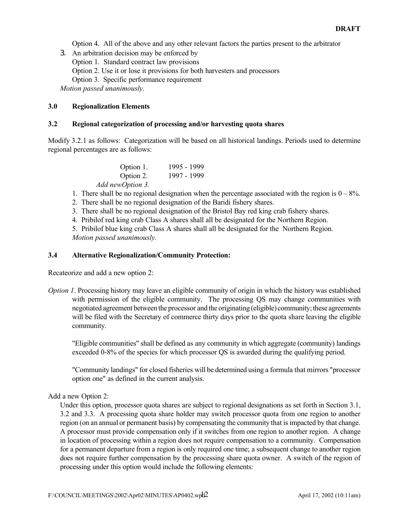Option 4. All of the above and any other relevant factors the parties present to the arbitrator

3. An arbitration decision may be enforced by Option 1. Standard contract law provisions Option 2. Use it or lose it provisions for both harvesters and processors Option 3. Specific performance requirement

*Motion passed unanimously.*

# **3.0 Regionalization Elements**

### **3.2 Regional categorization of processing and/or harvesting quota shares**

Modify 3.2.1 as follows: Categorization will be based on all historical landings. Periods used to determine regional percentages are as follows:

| Option 1.        | 1995 - 1999 |
|------------------|-------------|
| Option 2.        | 1997 - 1999 |
| Add newOption 3. |             |

- 1. There shall be no regional designation when the percentage associated with the region is  $0 8\%$ .
- 2. There shall be no regional designation of the Baridi fishery shares.
- 3. There shall be no regional designation of the Bristol Bay red king crab fishery shares.
- 4. Pribilof red king crab Class A shares shall all be designated for the Northern Region.

5. Pribilof blue king crab Class A shares shall all be designated for the Northern Region. *Motion passed unanimously.*

### **3.4 Alternative Regionalization/Community Protection:**

Recateorize and add a new option 2:

*Option 1*. Processing history may leave an eligible community of origin in which the history was established with permission of the eligible community. The processing QS may change communities with negotiated agreement between the processor and the originating (eligible) community; these agreements will be filed with the Secretary of commerce thirty days prior to the quota share leaving the eligible community.

"Eligible communities" shall be defined as any community in which aggregate (community) landings exceeded 0-8% of the species for which processor QS is awarded during the qualifying period.

"Community landings" for closed fisheries will be determined using a formula that mirrors "processor option one" as defined in the current analysis.

### Add a new Option 2:

Under this option, processor quota shares are subject to regional designations as set forth in Section 3.1, 3.2 and 3.3. A processing quota share holder may switch processor quota from one region to another region (on an annual or permanent basis) by compensating the community that is impacted by that change. A processor must provide compensation only if it switches from one region to another region. A change in location of processing within a region does not require compensation to a community. Compensation for a permanent departure from a region is only required one time; a subsequent change to another region does not require further compensation by the processing share quota owner. A switch of the region of processing under this option would include the following elements: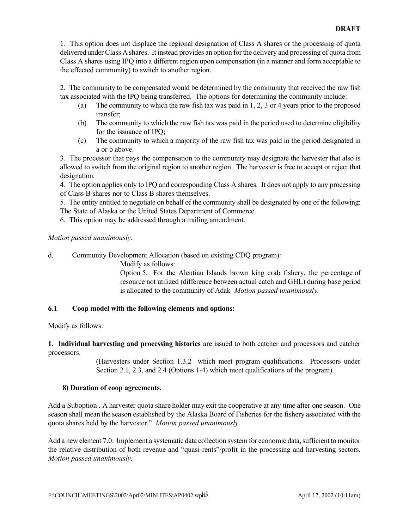1. This option does not displace the regional designation of Class A shares or the processing of quota delivered under Class A shares. It instead provides an option for the delivery and processing of quota from Class A shares using IPQ into a different region upon compensation (in a manner and form acceptable to the effected community) to switch to another region.

2. The community to be compensated would be determined by the community that received the raw fish tax associated with the IPQ being transferred. The options for determining the community include:

- (a) The community to which the raw fish tax was paid in 1, 2, 3 or 4 years prior to the proposed transfer;
- (b) The community to which the raw fish tax was paid in the period used to determine eligibility for the issuance of IPQ;
- (c) The community to which a majority of the raw fish tax was paid in the period designated in a or b above.

3. The processor that pays the compensation to the community may designate the harvester that also is allowed to switch from the original region to another region. The harvester is free to accept or reject that designation.

4. The option applies only to IPQ and corresponding Class A shares. It does not apply to any processing of Class B shares nor to Class B shares themselves.

5. The entity entitled to negotiate on behalf of the community shall be designated by one of the following: The State of Alaska or the United States Department of Commerce.

6. This option may be addressed through a trailing amendment.

*Motion passed unanimously.*

d. Community Development Allocation (based on existing CDQ program):

Modify as follows:

Option 5. For the Aleutian Islands brown king crab fishery, the percentage of resource not utilized (difference between actual catch and GHL) during base period is allocated to the community of Adak *Motion passed unanimously.*

# **6.1 Coop model with the following elements and options:**

Modify as follows:

**1. Individual harvesting and processing histories** are issued to both catcher and processors and catcher processors.

> (Harvesters under Section 1.3.2 which meet program qualifications. Processors under Section 2.1, 2.3, and 2.4 (Options 1-4) which meet qualifications of the program).

### **8) Duration of coop agreements.**

Add a Suboption . A harvester quota share holder may exit the cooperative at any time after one season. One season shall mean the season established by the Alaska Board of Fisheries for the fishery associated with the quota shares held by the harvester." *Motion passed unanimously.*

Add a new element 7.0: Implement a systematic data collection system for economic data, sufficient to monitor the relative distribution of both revenue and "quasi-rents"/profit in the processing and harvesting sectors. *Motion passed unanimously.*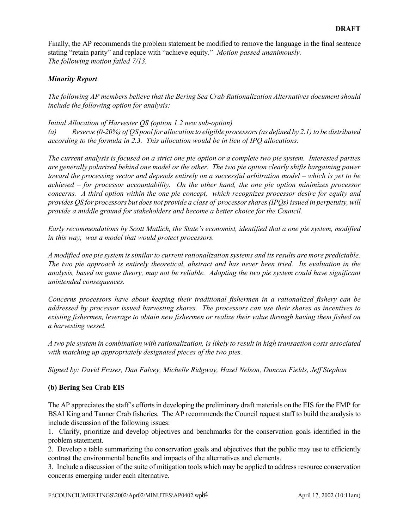Finally, the AP recommends the problem statement be modified to remove the language in the final sentence stating "retain parity" and replace with "achieve equity." *Motion passed unanimously. The following motion failed 7/13.*

## *Minority Report*

*The following AP members believe that the Bering Sea Crab Rationalization Alternatives document should include the following option for analysis:*

### *Initial Allocation of Harvester QS (option 1.2 new sub-option)*

*(a) Reserve (0-20%) of QS pool for allocation to eligible processors(as defined by 2.1) to be distributed according to the formula in 2.3. This allocation would be in lieu of IPQ allocations.*

*The current analysis is focused on a strict one pie option or a complete two pie system. Interested parties are generally polarized behind one model or the other. The two pie option clearly shifts bargaining power toward the processing sector and depends entirely on a successful arbitration model – which is yet to be achieved – for processor accountability. On the other hand, the one pie option minimizes processor concerns. A third option within the one pie concept, which recognizes processor desire for equity and provides QS for processors but does not provide a class of processor shares (IPQs) issued in perpetuity, will provide a middle ground for stakeholders and become a better choice for the Council.*

*Early recommendations by Scott Matlich, the State's economist, identified that a one pie system, modified in this way, was a model that would protect processors.*

A modified one pie system is similar to current rationalization systems and its results are more predictable. *The two pie approach is entirely theoretical, abstract and has never been tried. Its evaluation in the analysis, based on game theory, may not be reliable. Adopting the two pie system could have significant unintended consequences.*

*Concerns processors have about keeping their traditional fishermen in a rationalized fishery can be addressed by processor issued harvesting shares. The processors can use their shares as incentives to existing fishermen, leverage to obtain new fishermen or realize their value through having them fished on a harvesting vessel.*

A two pie system in combination with rationalization, is likely to result in high transaction costs associated *with matching up appropriately designated pieces of the two pies.*

*Signed by: David Fraser, Dan Falvey, Michelle Ridgway, Hazel Nelson, Duncan Fields, Jeff Stephan*

# **(b) Bering Sea Crab EIS**

The AP appreciates the staff's effortsin developing the preliminary draft materials on the EIS for the FMP for BSAI King and Tanner Crab fisheries. The AP recommends the Council request staff to build the analysis to include discussion of the following issues:

1. Clarify, prioritize and develop objectives and benchmarks for the conservation goals identified in the problem statement.

2. Develop a table summarizing the conservation goals and objectives that the public may use to efficiently contrast the environmental benefits and impacts of the alternatives and elements.

3. Include a discussion of the suite of mitigation tools which may be applied to address resource conservation concerns emerging under each alternative.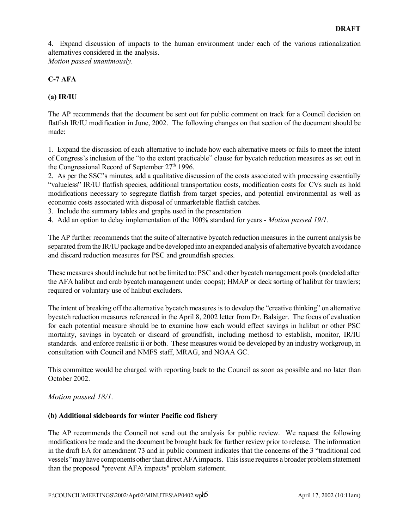4. Expand discussion of impacts to the human environment under each of the various rationalization alternatives considered in the analysis.

*Motion passed unanimously*.

# **C-7 AFA**

## **(a) IR/IU**

The AP recommends that the document be sent out for public comment on track for a Council decision on flatfish IR/IU modification in June, 2002. The following changes on that section of the document should be made:

1. Expand the discussion of each alternative to include how each alternative meets or fails to meet the intent of Congress's inclusion of the "to the extent practicable" clause for bycatch reduction measures as set out in the Congressional Record of September 27<sup>th</sup> 1996.

2. As per the SSC's minutes, add a qualitative discussion of the costs associated with processing essentially "valueless" IR/IU flatfish species, additional transportation costs, modification costs for CVs such as hold modifications necessary to segregate flatfish from target species, and potential environmental as well as economic costs associated with disposal of unmarketable flatfish catches.

3. Include the summary tables and graphs used in the presentation

4. Add an option to delay implementation of the 100% standard for years - *Motion passed 19/1.*

The AP further recommends that the suite of alternative bycatch reduction measures in the current analysis be separated fromthe IR/IU package and be developed intoan expanded analysis of alternative bycatch avoidance and discard reduction measures for PSC and groundfish species.

These measures should include but not be limited to: PSC and other bycatch management pools (modeled after the AFA halibut and crab bycatch management under coops); HMAP or deck sorting of halibut for trawlers; required or voluntary use of halibut excluders.

The intent of breaking off the alternative bycatch measures is to develop the "creative thinking" on alternative bycatch reduction measures referenced in the April 8, 2002 letter from Dr. Balsiger. The focus of evaluation for each potential measure should be to examine how each would effect savings in halibut or other PSC mortality, savings in bycatch or discard of groundfish, including methosd to establish, monitor, IR/IU standards. and enforce realistic ii or both. These measures would be developed by an industry workgroup, in consultation with Council and NMFS staff, MRAG, and NOAA GC.

This committee would be charged with reporting back to the Council as soon as possible and no later than October 2002.

# *Motion passed 18/1.*

### **(b) Additional sideboards for winter Pacific cod fishery**

The AP recommends the Council not send out the analysis for public review. We request the following modifications be made and the document be brought back for further review prior to release. The information in the draft EA for amendment 73 and in public comment indicates that the concerns of the 3 "traditional cod vessels"mayhave components other thandirect AFAimpacts. This issue requires a broader problem statement than the proposed "prevent AFA impacts" problem statement.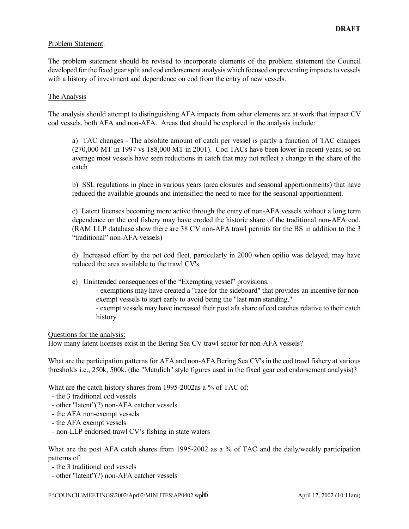#### Problem Statement.

The problem statement should be revised to incorporate elements of the problem statement the Council developed for the fixed gear split and cod endorsement analysis which focused on preventing impacts to vessels with a history of investment and dependence on cod from the entry of new vessels.

#### The Analysis

The analysis should attempt to distinguishing AFA impacts from other elements are at work that impact CV cod vessels, both AFA and non-AFA. Areas that should be explored in the analysis include:

a) TAC changes - The absolute amount of catch per vessel is partly a function of TAC changes (270,000 MT in 1997 vs 188,000 MT in 2001). Cod TACs have been lower in recent years, so on average most vessels have seen reductions in catch that may not reflect a change in the share of the catch

b) SSL regulations in place in various years (area closures and seasonal apportionments) that have reduced the available grounds and intensified the need to race for the seasonal apportionment.

c) Latent licenses becoming more active through the entry of non-AFA vessels without a long term dependence on the cod fishery may have eroded the historic share of the traditional non-AFA cod. (RAM LLP database show there are 38 CV non-AFA trawl permits for the BS in addition to the 3 "traditional" non-AFA vessels)

d) Increased effort by the pot cod fleet, particularly in 2000 when opilio was delayed, may have reduced the area available to the trawl CV's.

e) Unintended consequences of the "Exempting vessel" provisions.

- exemptions may have created a "race for the sideboard" that provides an incentive for nonexempt vessels to start early to avoid being the "last man standing."

- exempt vessels may have increased their post afa share of cod catches relative to their catch history

Questions for the analysis:

How many latent licenses exist in the Bering Sea CV trawl sector for non-AFA vessels?

What are the participation patterns for AFA and non-AFA Bering Sea CV's in the cod trawl fishery at various thresholds i.e., 250k, 500k. (the "Matulich" style figures used in the fixed gear cod endorsement analysis)?

What are the catch history shares from 1995-2002as a % of TAC of:

- the 3 traditional cod vessels
- other "latent"(?) non-AFA catcher vessels
- the AFA non-exempt vessels
- the AFA exempt vessels
- non-LLP endorsed trawl CV's fishing in state waters

What are the post AFA catch shares from 1995-2002 as a % of TAC and the daily/weekly participation patterns of:

- the 3 traditional cod vessels
- other "latent"(?) non-AFA catcher vessels

F:\COUNCIL\MEETINGS\2002\Apr02\MINUTES\AP0402.wpdf6 April 17, 2002 (10:11am)